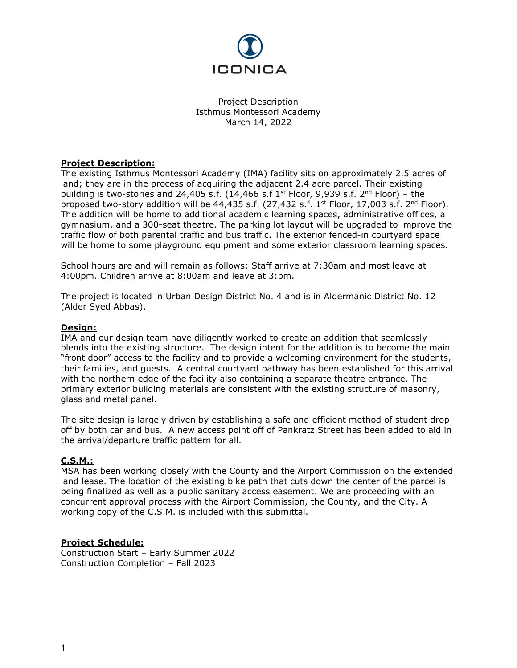

Project Description Isthmus Montessori Academy March 14, 2022

## **Project Description:**

The existing Isthmus Montessori Academy (IMA) facility sits on approximately 2.5 acres of land; they are in the process of acquiring the adjacent 2.4 acre parcel. Their existing building is two-stories and 24,405 s.f. (14,466 s.f 1<sup>st</sup> Floor, 9,939 s.f. 2<sup>nd</sup> Floor) - the proposed two-story addition will be 44,435 s.f. (27,432 s.f. 1<sup>st</sup> Floor, 17,003 s.f. 2<sup>nd</sup> Floor). The addition will be home to additional academic learning spaces, administrative offices, a gymnasium, and a 300-seat theatre. The parking lot layout will be upgraded to improve the traffic flow of both parental traffic and bus traffic. The exterior fenced-in courtyard space will be home to some playground equipment and some exterior classroom learning spaces.

School hours are and will remain as follows: Staff arrive at 7:30am and most leave at 4:00pm. Children arrive at 8:00am and leave at 3:pm.

The project is located in Urban Design District No. 4 and is in Aldermanic District No. 12 (Alder Syed Abbas).

### **Design:**

IMA and our design team have diligently worked to create an addition that seamlessly blends into the existing structure. The design intent for the addition is to become the main "front door" access to the facility and to provide a welcoming environment for the students, their families, and guests. A central courtyard pathway has been established for this arrival with the northern edge of the facility also containing a separate theatre entrance. The primary exterior building materials are consistent with the existing structure of masonry, glass and metal panel.

The site design is largely driven by establishing a safe and efficient method of student drop off by both car and bus. A new access point off of Pankratz Street has been added to aid in the arrival/departure traffic pattern for all.

## **C.S.M.:**

MSA has been working closely with the County and the Airport Commission on the extended land lease. The location of the existing bike path that cuts down the center of the parcel is being finalized as well as a public sanitary access easement. We are proceeding with an concurrent approval process with the Airport Commission, the County, and the City. A working copy of the C.S.M. is included with this submittal.

### **Project Schedule:**

Construction Start – Early Summer 2022 Construction Completion – Fall 2023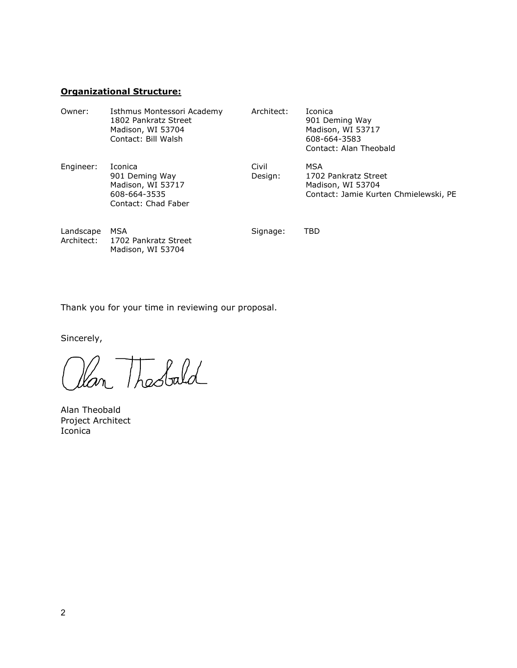# **Organizational Structure:**

| Owner:                  | Isthmus Montessori Academy<br>1802 Pankratz Street<br>Madison, WI 53704<br>Contact: Bill Walsh | Architect:       | Iconica<br>901 Deming Way<br>Madison, WI 53717<br>608-664-3583<br>Contact: Alan Theobald  |
|-------------------------|------------------------------------------------------------------------------------------------|------------------|-------------------------------------------------------------------------------------------|
| Engineer:               | Iconica<br>901 Deming Way<br>Madison, WI 53717<br>608-664-3535<br>Contact: Chad Faber          | Civil<br>Design: | MSA<br>1702 Pankratz Street<br>Madison, WI 53704<br>Contact: Jamie Kurten Chmielewski, PE |
| Landscape<br>Architect: | MSA<br>1702 Pankratz Street<br>Madison, WI 53704                                               | Signage:         | TBD                                                                                       |

Thank you for your time in reviewing our proposal.

Sincerely,

an Theobald

Alan Theobald Project Architect Iconica